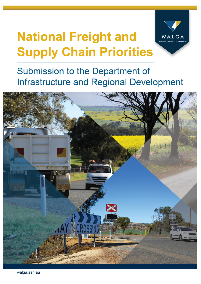# **National Freight and Supply Chain Priorities**



**Submission to the Department of Infrastructure and Regional Development** 

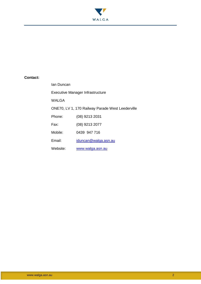

#### **Contact:**

| lan Duncan                              |                                                  |  |  |
|-----------------------------------------|--------------------------------------------------|--|--|
| <b>Executive Manager Infrastructure</b> |                                                  |  |  |
| WALGA                                   |                                                  |  |  |
|                                         | ONE70, LV 1, 170 Railway Parade West Leederville |  |  |
| Phone:                                  | (08) 9213 2031                                   |  |  |
| Fax:                                    | (08) 9213 2077                                   |  |  |
| Mobile:                                 | 0439 947 716                                     |  |  |
| Fmail:                                  | iduncan@walga.asn.au                             |  |  |
| Website:                                | www.walga.asn.au                                 |  |  |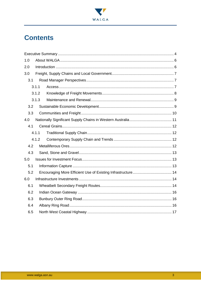

# **Contents**

| 1.0 |       |  |  |
|-----|-------|--|--|
| 2.0 |       |  |  |
| 3.0 |       |  |  |
| 3.1 |       |  |  |
|     | 3.1.1 |  |  |
|     | 3.1.2 |  |  |
|     | 3.1.3 |  |  |
| 3.2 |       |  |  |
| 3.3 |       |  |  |
| 4.0 |       |  |  |
| 4.1 |       |  |  |
|     | 4.1.1 |  |  |
|     | 4.1.2 |  |  |
| 4.2 |       |  |  |
| 4.3 |       |  |  |
| 5.0 |       |  |  |
| 5.1 |       |  |  |
| 5.2 |       |  |  |
| 6.0 |       |  |  |
| 6.1 |       |  |  |
| 6.2 |       |  |  |
| 6.3 |       |  |  |
| 6.4 |       |  |  |
| 6.5 |       |  |  |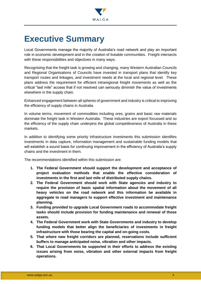

# **Executive Summary**

Local Governments manage the majority of Australia's road network and play an important role in economic development and in the creation of liveable communities. Freight intersects with these responsibilities and objectives in many ways.

Recognising that the freight task is growing and changing, many Western Australian Councils and Regional Organisations of Councils have invested in transport plans that identify key transport routes and linkages, and investment needs at the local and regional level. These plans address the requirement for efficient intraregional freight movements as well as the critical "last mile" access that if not resolved can seriously diminish the value of investments elsewhere in the supply chain.

Enhanced engagement between all spheres of government and industry is critical to improving the efficiency of supply chains in Australia.

In volume terms, movement of commodities including ores, grains and basic raw materials dominate the freight task in Western Australia. These industries are export focussed and so the efficiency of the supply chain underpins the global competitiveness of Australia in these markets.

In addition to identifying some priority infrastructure investments this submission identifies investments in data capture, information management and sustainable funding models that will establish a sound basis for continuing improvement in the efficiency of Australia's supply chains and the investment in them.

The recommendations identified within this submission are:

- **1. The Federal Government should support the development and acceptance of project evaluation methods that enable the effective consideration of investments in the first and last mile of distributed supply chains.**
- **2. The Federal Government should work with State agencies and industry to require the provision of basic spatial information about the movement of all heavy vehicles on the road network and this information be available in aggregate to road managers to support effective investment and maintenance planning.**
- **3. Funding provided to upgrade Local Government roads to accommodate freight tasks should include provision for funding maintenance and renewal of those assets.**
- **4. The Federal Government work with State Governments and industry to develop funding models that better align the beneficiaries of investments in freight infrastructure with those bearing the capital and on-going costs.**
- **5. That where new freight corridors are planned, reservations include sufficient buffers to manage anticipated noise, vibration and other impacts.**
- **6. That Local Governments be supported in their efforts to address the existing issues arising from noise, vibration and other external impacts from freight operations.**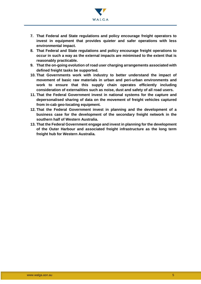

- **7. That Federal and State regulations and policy encourage freight operators to invest in equipment that provides quieter and safer operations with less environmental impact.**
- **8. That Federal and State regulations and policy encourage freight operations to occur in such a way as the external impacts are minimised to the extent that is reasonably practicable.**
- **9. That the on-going evolution of road user charging arrangements associated with defined freight tasks be supported.**
- **10. That Governments work with industry to better understand the impact of movement of basic raw materials in urban and peri-urban environments and work to ensure that this supply chain operates efficiently including consideration of externalities such as noise, dust and safety of all road users.**
- **11. That the Federal Government invest in national systems for the capture and depersonalised sharing of data on the movement of freight vehicles captured from in-cab geo-locating equipment.**
- **12. That the Federal Government invest in planning and the development of a business case for the development of the secondary freight network in the southern half of Western Australia.**
- **13. That the Federal Government engage and invest in planning for the development of the Outer Harbour and associated freight infrastructure as the long term freight hub for Western Australia.**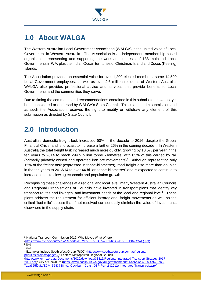

# <span id="page-5-0"></span>**1.0 About WALGA**

The Western Australian Local Government Association (WALGA) is the united voice of Local Government in Western Australia. The Association is an independent, membership-based organisation representing and supporting the work and interests of 138 mainland Local Governments in WA, plus the Indian Ocean territories of Christmas Island and Cocos (Keeling) Islands.

The Association provides an essential voice for over 1,200 elected members, some 14,500 Local Government employees, as well as over 2.6 million residents of Western Australia. WALGA also provides professional advice and services that provide benefits to Local Governments and the communities they serve.

Due to timing the comments and recommendations contained in this submission have not yet been considered or endorsed by WALGA's State Council. This is an interim submission and as such the Association reserves the right to modify or withdraw any element of this submission as directed by State Council.

# <span id="page-5-1"></span>**2.0 Introduction**

Australia's domestic freight task increased 50% in the decade to 2016, despite the Global Financial Crisis, and is forecast to increase a further 26% in the coming decade<sup>1</sup>. In Western Australia the total freight task increased much more quickly, growing by 10.5% per year in the ten years to 2014 to reach 294.5 billion tonne kilometres, with 85% of this carried by rail (primarily privately owned and operated iron ore movements)<sup>2</sup>. Although representing only 15% of the freight task (expressed in tonne-kilometres), road freight also more than doubled in the ten years to 2013/14 to over 44 billion tonne-kilometres<sup>3</sup> and is expected to continue to increase, despite slowing economic and population growth.

Recognising these challenges at a regional and local level, many Western Australian Councils and Regional Organisations of Councils have invested in transport plans that identify key transport routes and linkages, and investment needs at the local and regional level<sup>4</sup>. These plans address the requirement for efficient intraregional freight movements as well as the critical "last mile" access that if not resolved can seriously diminish the value of investments elsewhere in the supply chain.

<sup>&</sup>lt;sup>1</sup> National Transport Commission 2016, Who Moves What Where

[<sup>\(</sup>https://www.ntc.gov.au/Media/Reports/\(D62E6EFC-36C7-48B1-66A7-DDEF3B04CCAE\).pdf\)](https://www.ntc.gov.au/Media/Reports/(D62E6EFC-36C7-48B1-66A7-DDEF3B04CCAE).pdf)) 2 ibid

<sup>3</sup> ibid

<sup>4</sup> Examples include South West Group (ROC) [\(http://www.southwestgroup.com.au/regional](http://www.southwestgroup.com.au/regional-priorities/projects/page/2/)[priorities/projects/page/2/\)](http://www.southwestgroup.com.au/regional-priorities/projects/page/2/); Eastern Metropolitan Regional Council

[<sup>\(</sup>http://www.emrc.org.au/Documents/8020/download/38815/Regional-Integrated-Transport-Strategy-2017-](http://www.emrc.org.au/Documents/8020/download/38815/Regional-Integrated-Transport-Strategy-2017-2021.pdf) [2021.pdf\)](http://www.emrc.org.au/Documents/8020/download/38815/Regional-Integrated-Transport-Strategy-2017-2021.pdf); City of Cockburn [\(https://www.cockburn.wa.gov.au/getattachment/36bc6b4e-422a-4af4-87a3-](https://www.cockburn.wa.gov.au/getattachment/36bc6b4e-422a-4af4-87a3-71ca655f0af1/ECM_5543738_v1_Cockburn-Coast-DSP-Part-2-(2012)-Integrated-Transp-pdf.aspx)) [71ca655f0af1/ECM\\_5543738\\_v1\\_Cockburn-Coast-DSP-Part-2-\(2012\)-Integrated-Transp-pdf.aspx\)](https://www.cockburn.wa.gov.au/getattachment/36bc6b4e-422a-4af4-87a3-71ca655f0af1/ECM_5543738_v1_Cockburn-Coast-DSP-Part-2-(2012)-Integrated-Transp-pdf.aspx))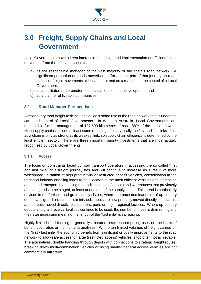

# <span id="page-6-0"></span>**3.0 Freight, Supply Chains and Local Government**

Local Governments have a keen interest in the design and implementation of efficient freight movement from three key perspectives:

- a) as the responsible manager of the vast majority of the State's road network. A significant proportion of goods moved do so for at least part of that journey on road, and most freight movements at least start or end on a road under the control of a Local Government;
- b) as a facilitator and promoter of sustainable economic development; and
- c) as a planner of liveable communities.

#### <span id="page-6-1"></span>**3.1 Road Manager Perspectives**

Almost every road freight task includes at least some use of the road network that is under the care and control of Local Governments. In Western Australia, Local Governments are responsible for the management of 127,500 kilometres of road, 88% of the public network. Most supply chains include at least some road segments, typically the first and last links. Just as a chain is only as strong as its weakest link, so supply chain efficiency is determined by the least efficient sector. There are three important priority investments that are most acutely recognised by Local Governments.

#### <span id="page-6-2"></span>**3.1.1 Access**

The focus on constraints faced by road transport operators in accessing the so called "first and last mile" of a freight journey has and will continue to increase as a result of more widespread utilisation of high productivity or restricted access vehicles, consolidation in the transport industry enabling loads to be allocated to the most efficient vehicles and increasing end to end transport, by-passing the traditional use of depots and warehouses that previously enabled goods to be staged, at least at one end of the supply chain. This trend is particularly obvious in the fertiliser and grain supply chains, where the once dominant role of up-country depots and grain bins is much diminished. Inputs are now primarily moved directly on to farms, and outputs moved directly to customers, ports or major regional facilities. Where up-country depots and grain receival facilities continue to be used, the number of these is diminishing and their size increasing meaning the length of the "last mile" is increasing.

Highly limited road funding is generally allocated between competing uses on the basis of benefit cost ratios or multi-criteria analyses. With often limited volumes of freight carried on the "first / last mile" the economic benefit from significant or costly improvements to the road network to allow safe access for large (restricted access) vehicles is too often not achievable. The alternatives, double handling through depots with connections to strategic freight routes, breaking down multi-combination vehicles or using smaller general access vehicles are not commercially attractive.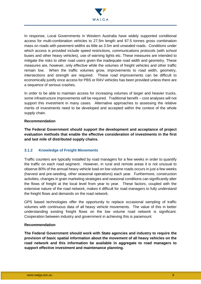

In response, Local Governments in Western Australia have widely supported conditional access for multi-combination vehicles to 27.5m length and 87.5 tonnes gross combination mass on roads with pavement widths as little as 3.5m and unsealed roads. Conditions under which access is provided include speed restrictions, communications protocols (with school buses and other heavy vehicles), use of warning lights etc. These measures are intended to mitigate the risks to other road users given the inadequate road width and geometry. These measures are, however, only effective while the volumes of freight vehicles and other traffic remain low. When the traffic volumes grow, improvements to road width, geometry, intersections and strength are required. These road improvements can be difficult to economically justify once access for PBS or RAV vehicles has been provided unless there are a sequence of serious crashes.

In order to be able to maintain access for increasing volumes of larger and heavier trucks, some infrastructure improvements will be required. Traditional benefit – cost analyses will not support this investment in many cases. Alternative approaches to assessing the relative merits of investments need to be developed and accepted within the context of the whole supply chain.

#### **Recommendation**

**The Federal Government should support the development and acceptance of project evaluation methods that enable the effective consideration of investments in the first and last mile of distributed supply chains.**

#### <span id="page-7-0"></span>**3.1.2 Knowledge of Freight Movements**

Traffic counters are typically installed by road managers for a few weeks in order to quantify the traffic on each road segment. However, in rural and remote areas it is not unusual to observe 80% of the annual heavy vehicle load on low volume roads occurs in just a few weeks (harvest and pre-seeding, other seasonal operations) each year. Furthermore, construction activities, changes in grain marketing strategies and seasonal conditions can significantly alter the flows of freight at the local level from year to year. These factors, coupled with the extensive nature of the road network, makes it difficult for road managers to fully understand the freight flows and demands on the road network.

GPS based technologies offer the opportunity to replace occasional sampling of traffic volumes with continuous data of all heavy vehicle movements. The value of this in better understanding existing freight flows on the low volume road network is significant. Cooperation between industry and government in achieving this is paramount.

#### **Recommendation**

**The Federal Government should work with State agencies and industry to require the provision of basic spatial information about the movement of all heavy vehicles on the road network and this information be available in aggregate to road managers to support effective investment and maintenance planning.**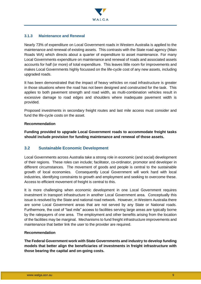

#### <span id="page-8-0"></span>**3.1.3 Maintenance and Renewal**

Nearly 73% of expenditure on Local Government roads in Western Australia is applied to the maintenance and renewal of existing assets. This contrasts with the State road agency (Main Roads WA) which directs about a quarter of expenditure to asset maintenance. For many Local Governments expenditure on maintenance and renewal of roads and associated assets accounts for half (or more) of total expenditure. This leaves little room for improvements and makes Local Governments highly focussed on the life-cycle cost of any new assets, including upgraded roads.

It has been demonstrated that the impact of heavy vehicles on road infrastructure is greater in those situations where the road has not been designed and constructed for the task. This applies to both pavement strength and road width, as multi-combination vehicles result in excessive damage to road edges and shoulders where inadequate pavement width is provided.

Proposed investments in secondary freight routes and last mile access must consider and fund the life-cycle costs on the asset.

#### **Recommendation**

**Funding provided to upgrade Local Government roads to accommodate freight tasks should include provision for funding maintenance and renewal of those assets.**

#### <span id="page-8-1"></span>**3.2 Sustainable Economic Development**

Local Governments across Australia take a strong role in economic (and social) development of their regions. These roles can include; facilitator, co-ordinator, promotor and developer in different circumstances. The movement of goods and people is central to the sustainable growth of local economies. Consequently Local Government will work hard with local industries, identifying constraints to growth and employment and seeking to overcome these. Access to efficient movement of freight is central to this.

It is more challenging when economic development in one Local Government requires investment in transport infrastructure in another Local Government area. Conceptually this issue is resolved by the State and national road network. However, in Western Australia there are some Local Government areas that are not served by any State or National roads. Furthermore, the cost of "last mile" access to facilities serving large areas are typically borne by the ratepayers of one area. The employment and other benefits arising from the location of the facilities may be marginal. Mechanisms to fund freight infrastructure improvements and maintenance that better link the user to the provider are required.

#### **Recommendation**

**The Federal Government work with State Governments and industry to develop funding models that better align the beneficiaries of investments in freight infrastructure with those bearing the capital and on-going costs.**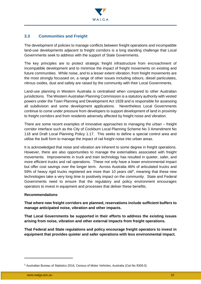

#### <span id="page-9-0"></span>**3.3 Communities and Freight**

The development of policies to manage conflicts between freight operations and incompatible land-use developments adjacent to freight corridors is a long standing challenge that Local Governments seek to address with the support of State Governments.

The key principles are to protect strategic freight infrastructure from encroachment of incompatible development and to minimise the impact of freight movements on existing and future communities. While noise, and to a lesser extent vibration, from freight movements are the most strongly focussed on, a range of other issues including odours, diesel particulates, nitrous oxides, dust and safety are raised by the community with their Local Governments.

Land-use planning in Western Australia is centralised when compared to other Australian jurisdictions. The Western Australian Planning Commission is a statutory authority with vested powers under the Town Planning and Development Act 1928 and is responsible for assessing all subdivision and some development applications. Nevertheless Local Governments continue to come under pressure from developers to support development of land in proximity to freight corridors and from residents adversely affected by freight noise and vibration.

There are some recent examples of innovative approaches to managing the urban – freight corridor interface such as the City of Cockburn Local Planning Scheme No 3 Amendment No 118 and Draft Local Planning Policy 1.17. This seeks to define a special control area and utilise the built form to manage the impact of rail freight noise into urban areas.

It is acknowledged that noise and vibration are inherent to some degree in freight operations. However, there are also opportunities to manage the externalities associated with freight movements. Improvements in truck and train technology has resulted in quieter, safer, and more efficient trucks and rail operations. These not only have a lower environmental impact but offer cost savings over the longer term. Across Australia 46% of articulated trucks and 59% of heavy rigid trucks registered are more than 10 years old<sup>5</sup>, meaning that these new technologies take a very long time to positively impact on the community. State and Federal Governments need to ensure that the regulatory and policy environment encourages operators to invest in equipment and processes that deliver these benefits.

#### **Recommendations**

**That where new freight corridors are planned, reservations include sufficient buffers to manage anticipated noise, vibration and other impacts.**

**That Local Governments be supported in their efforts to address the existing issues arising from noise, vibration and other external impacts from freight operations.**

**That Federal and State regulations and policy encourage freight operators to invest in equipment that provides quieter and safer operations with less environmental impact.** 

<sup>5</sup> Australian Bureau of Statistics 2016, Census of Motor Vehicles, Australia (Cat No 9309.0)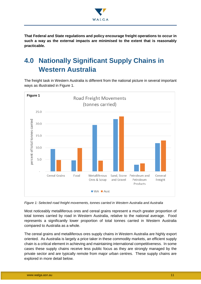

**That Federal and State regulations and policy encourage freight operations to occur in such a way as the external impacts are minimised to the extent that is reasonably practicable.**

# <span id="page-10-0"></span>**4.0 Nationally Significant Supply Chains in Western Australia**

The freight task in Western Australia is different from the national picture in several important ways as illustrated in Figure 1.



*Figure 1: Selected road freight movements, tonnes carried in Western Australia and Australia*

Most noticeably metalliferous ores and cereal grains represent a much greater proportion of total tonnes carried by road in Western Australia, relative to the national average. Food represents a significantly lower proportion of total tonnes carried in Western Australia compared to Australia as a whole.

The cereal grains and metalliferous ores supply chains in Western Australia are highly export oriented. As Australia is largely a price taker in these commodity markets, an efficient supply chain is a critical element in achieving and maintaining international competitiveness. In some cases these supply chains receive less public focus as they are strongly managed by the private sector and are typically remote from major urban centres. These supply chains are explored in more detail below.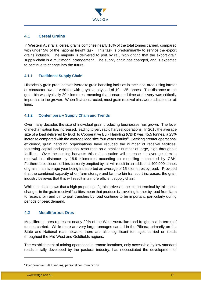

#### <span id="page-11-0"></span>**4.1 Cereal Grains**

In Western Australia, cereal grains comprise nearly 10% of the total tonnes carried, compared with under 5% of the national freight task. This task is predominantly to service the export grains industry. The majority is delivered to port by rail, highlighting that the export grain supply chain is a multimodal arrangement. The supply chain has changed, and is expected to continue to change into the future.

#### <span id="page-11-1"></span>**4.1.1 Traditional Supply Chain**

Historically grain producers delivered to grain handling facilities in their local area, using farmer or contractor owned vehicles with a typical payload of  $10 - 25$  tonnes. The distance to the grain bin was typically 20 kilometres, meaning that turnaround time at delivery was critically important to the grower. When first constructed, most grain receival bins were adjacent to rail lines.

#### <span id="page-11-2"></span>**4.1.2 Contemporary Supply Chain and Trends**

Over many decades the size of individual grain producing businesses has grown. The level of mechanisation has increased, leading to very rapid harvest operations. In 2016 the average size of a load delivered by truck to Cooperative Bulk Handling (CBH) was 45.5 tonnes, a 23% increase compared with the average load size four years earlier<sup>6</sup>. Seeking greater operational efficiency, grain handling organisations have reduced the number of receival facilities, focussing capital and operational resources on a smaller number of large, high throughput facilities. Over the coming harvests this rationalisation will increase the average farm to receival bin distance by 18.9 kilometres according to modelling completed by CBH. Furthermore, closure of bins currently emptied by rail will result in an additional 400,000 tonnes of grain in an average year being transported an average of 15 kilometres by road. Provided that the combined capacity of on-farm storage and farm to bin transport increases, the grain industry believes that this will result in a more efficient supply chain.

While the data shows that a high proportion of grain arrives at the export terminal by rail, these changes in the grain receival facilities mean that produce is travelling further by road from farm to receival bin and bin to port transfers by road continue to be important, particularly during periods of peak demand.

#### <span id="page-11-3"></span>**4.2 Metalliferous Ores**

Metalliferous ores represent nearly 20% of the West Australian road freight task in terms of tonnes carried. While there are very large tonnages carried in the Pilbara, primarily on the State and National road network, there are also significant tonnages carried on roads throughout the Mid-West and Goldfields regions.

The establishment of mining operations in remote locations, only accessible by low standard roads initially developed by the pastoral industry, has necessitated the development of

<sup>6</sup> Co-operative Bulk Handling, personal communication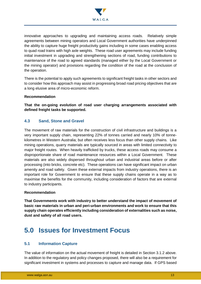

innovative approaches to upgrading and maintaining access roads. Relatively simple agreements between mining operators and Local Government authorities have underpinned the ability to capture huge freight productivity gains including in some cases enabling access to quad road trains with high axle weights. These road user agreements may include funding initial investment in upgrading and strengthening sections of road, funding contributions to maintenance of the road to agreed standards (managed either by the Local Government or the mining operator) and provisions regarding the condition of the road at the conclusion of the operation.

There is the potential to apply such agreements to significant freight tasks in other sectors and to consider how this approach may assist in progressing broad road pricing objectives that are a long elusive area of micro-economic reform.

#### **Recommendation**

**That the on-going evolution of road user charging arrangements associated with defined freight tasks be supported.** 

#### <span id="page-12-0"></span>**4.3 Sand, Stone and Gravel**

The movement of raw materials for the construction of civil infrastructure and buildings is a very important supply chain, representing 22% of tonnes carried and nearly 10% of tonnekilometres in Western Australia; but often receives less focus than other supply chains. Like mining operations, quarry materials are typically sourced in areas with limited connectivity to major freight routes. When heavily trafficked by trucks, these access roads may consume a disproportionate share of road maintenance resources within a Local Government. These materials are also widely dispersed throughout urban and industrial areas before or after processing (into bricks, concrete etc). These operations can have significant impact on urban amenity and road safety. Given these external impacts from industry operations, there is an important role for Government to ensure that these supply chains operate in a way as to maximise the benefits for the community, including consideration of factors that are external to industry participants.

#### **Recommendation**

**That Governments work with industry to better understand the impact of movement of basic raw materials in urban and peri-urban environments and work to ensure that this supply chain operates efficiently including consideration of externalities such as noise, dust and safety of all road users.**

## <span id="page-12-1"></span>**5.0 Issues for Investment Focus**

#### <span id="page-12-2"></span>**5.1 Information Capture**

The value of information on the actual movement of freight is detailed in Section 3.1.2 above. In addition to the regulatory and policy changes proposed, there will also be a requirement for significant investment in systems and processes to capture and manage data. If GPS based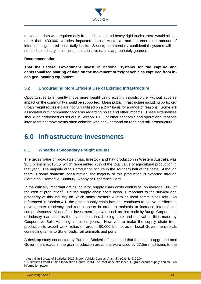

movement data was required only from articulated and heavy rigid trucks, there would still be more than 430,000 vehicles impacted across Australia<sup>7</sup> and an enormous amount of information gathered on a daily basis. Secure, commercially confidential systems will be needed so industry is confident that sensitive data is appropriately guarded.

#### **Recommendation**

**That the Federal Government invest in national systems for the capture and depersonalised sharing of data on the movement of freight vehicles captured from incab geo-locating equipment.**

#### <span id="page-13-0"></span>**5.2 Encouraging More Efficient Use of Existing Infrastructure**

Opportunities to efficiently move more freight using existing infrastructure, without adverse impact on the community should be supported. Major public infrastructure including ports, key urban freight routes etc are not fully utilised on a 24/7 basis for a range of reasons. Some are associated with community concerns regarding noise and other impacts. These externalities should be addressed as set out in Section 3.3. For other economic and operational reasons intense freight movements often coincide with peak demand on road and rail infrastructure.

## <span id="page-13-1"></span>**6.0 Infrastructure Investments**

#### <span id="page-13-2"></span>**6.1 Wheatbelt Secondary Freight Routes**

The gross value of broadacre crops, livestock and hay production in Western Australia was \$6.3 billion in 2015/16, which represented 78% of the total value of agricultural production in that year. The majority of this production occurs in the southern half of the State. Although there is some domestic consumption, the majority of this production is exported through Geraldton, Fremantle, Bunbury, Albany or Esperance Ports.

In the critically important grains industry, supply chain costs contribute, on average, 30% of the cost of production<sup>8</sup>. Driving supply chain costs down is important to the survival and prosperity of this industry on which many Western Australian local communities rely. As referenced in Section 4.1, the grains supply chain has and continues to evolve in efforts to drive greater efficiency and reduce costs in order to maintain or increase international competitiveness. Much of this investment is private, such as that made by Bunge Corporation, or industry lead such as the investments in rail rolling stock and receival facilities made by Cooperative Bulk Handling in recent years. However, to make the supply chain from production to export work, relies on around 60,000 kilometres of Local Government roads connecting farms to State roads, rail terminals and ports.

A desktop study conducted by Parsons Brinkerhoff estimated that the cost to upgrade Local Government roads in the grain production areas that were used by 27.5m road trains to the

<sup>7</sup> Australian Bureau of Statistics 2016, Motor Vehicle Census, Australia (Cat No 9309.0)

<sup>8</sup> Australian Export Grains Innovation Centre, 2014 The cost of Australia's bulk grain export supply chains - An information paper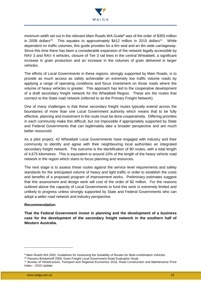

minimum width set out in the relevant Main Roads WA Guide<sup>9</sup> was of the order of \$355 million in 2008 dollars<sup>10</sup>. This equates to approximately \$412 million in 2015 dollars<sup>11</sup>. While dependent on traffic volumes, this guide provides for a 6m seal and an 8m wide carriageway. Since this time there has been a considerable expansion of the network legally accessible by RAV 3 and RAV 4 vehicles, closure of Tier 3 rail lines in the central Wheatbelt, a significant increase in grain production and an increase in the volumes of grain delivered in larger vehicles.

The efforts of Local Governments in these regions, strongly supported by Main Roads, is to provide as much access as safely achievable on extremely low traffic volume roads by applying a range of operating conditions and focus investment on those roads where the volume of heavy vehicles is greater. This approach has led to the cooperative development of a draft secondary freight network for the Wheatbelt Region. These are the routes that connect to the State road network (referred to as the Primary Freight Network).

One of many challenges is that these secondary freight routes typically extend across the boundaries of more than one Local Government authority which means that to be fully effective, planning and investment in the route must be done cooperatively. Differing priorities in each community make this difficult, but not impossible if appropriately supported by State and Federal Governments that can legitimately take a broader perspective and are much better resourced.

As a pilot project, 42 Wheatbelt Local Governments have engaged with industry and their community to identify and agree with their neighbouring local authorities an integrated secondary freight network. The outcome is the identification of 80 routes, with a total length of 4,675 kilometres. This is equivalent to around 10% of the length of the heavy vehicle road network in the region which starts to focus planning and resources.

The next stage is to assess these routes against the service level requirements and safety standards for the anticipated volume of heavy and light traffic in order to establish the costs and benefits of a proposed program of improvement works. Preliminary estimates suggest that this assessment and design work will cost of the order of \$2 million. For the reasons outlined above the capacity of Local Governments to fund this work is extremely limited and unlikely to progress unless strongly supported by State and Federal Governments who can adopt a wider road network and industry perspective.

#### **Recommendation**

**That the Federal Government invest in planning and the development of a business case for the development of the secondary freight network in the southern half of Western Australia.**

<sup>9</sup> Main Roads WA 2002, Guidelines for Assessing the Suitability of Routes for Multi-combination Vehicles

<sup>&</sup>lt;sup>10</sup> Parsons Brinkerhoff 2009, Grain Freight Local Government Road Evaluation Study

<sup>11</sup> Bureau of Infrastructure, Transport and Regional Economics 2016, Road Construction and Maintenance Price Index – 2015 Update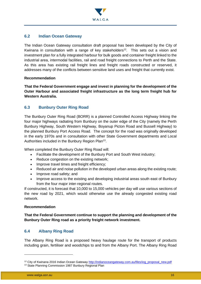

#### <span id="page-15-0"></span>**6.2 Indian Ocean Gateway**

The Indian Ocean Gateway consultation draft proposal has been developed by the City of Kwinana in consultation with a range of key stakeholders<sup>12</sup>. This sets out a vision and investment plan for a fully integrated harbour for bulk goods and container freight linked to the industrial area, intermodal facilities, rail and road freight connections to Perth and the State. As this area has existing rail freight lines and freight roads constructed or reserved, it addresses many of the conflicts between sensitive land uses and freight that currently exist.

#### **Recommendation**

**That the Federal Government engage and invest in planning for the development of the Outer Harbour and associated freight infrastructure as the long term freight hub for Western Australia.**

#### <span id="page-15-1"></span>**6.3 Bunbury Outer Ring Road**

The Bunbury Outer Ring Road (BORR) is a planned Controlled Access Highway linking the four major highways radiating from Bunbury on the outer edge of the City (namely the Perth Bunbury Highway, South Western Highway, Boyanup Picton Road and Bussell Highway) to the planned Bunbury Port Access Road. The concept for the road was originally developed in the early 1970s and in consultation with other State Government departments and Local Authorities included in the Bunbury Region Plan<sup>13</sup>.

When completed the Bunbury Outer Ring Road will:

- Facilitate the development of the Bunbury Port and South West industry;
- Reduce congestion on the existing network;
- Improve travel times and freight efficiency;
- Reduced air and noise pollution in the developed urban areas along the existing route;
- Improve road safety; and
- Improve access to the existing and developing industrial areas south east of Bunbury from the four major inter-regional routes.

If constructed, it is forecast that 10,000 to 15,000 vehicles per day will use various sections of the new road by 2021, which would otherwise use the already congested existing road network.

#### **Recommendation**

**That the Federal Government continue to support the planning and development of the Bunbury Outer Ring road as a priority freight network investment.**

#### <span id="page-15-2"></span>**6.4 Albany Ring Road**

The Albany Ring Road is a proposed heavy haulage route for the transport of products including grain, fertiliser and woodchips to and from the Albany Port. The Albany Ring Road

<sup>&</sup>lt;sup>12</sup> City of Kwinana 2016 Indian Ocean Gateway [http://indianoceangateway.com.au/files/iog\\_proposal\\_new.pdf](http://indianoceangateway.com.au/files/iog_proposal_new.pdf)

<sup>&</sup>lt;sup>13</sup> State Planning Commission 1987 Bunbury Regional Plan